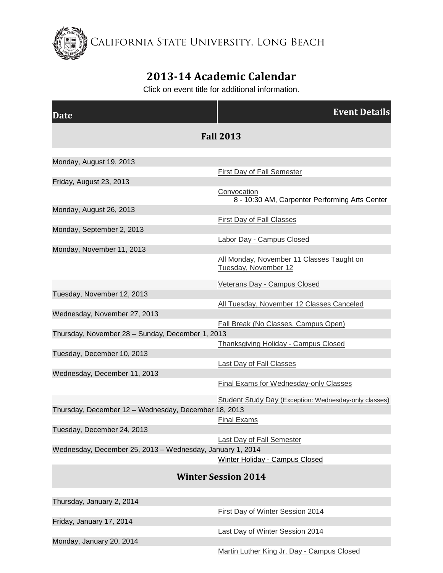California State University, Long Beach

## **2013-14 Academic Calendar**

Click on event title for additional information.

| Date                                                      | <b>Event Details</b>                                                 |
|-----------------------------------------------------------|----------------------------------------------------------------------|
| <b>Fall 2013</b>                                          |                                                                      |
| Monday, August 19, 2013                                   |                                                                      |
|                                                           | First Day of Fall Semester                                           |
| Friday, August 23, 2013                                   |                                                                      |
|                                                           | <b>Convocation</b><br>8 - 10:30 AM, Carpenter Performing Arts Center |
| Monday, August 26, 2013                                   |                                                                      |
|                                                           | <b>First Day of Fall Classes</b>                                     |
| Monday, September 2, 2013                                 | Labor Day - Campus Closed                                            |
| Monday, November 11, 2013                                 |                                                                      |
|                                                           | All Monday, November 11 Classes Taught on<br>Tuesday, November 12    |
|                                                           | Veterans Day - Campus Closed                                         |
| Tuesday, November 12, 2013                                |                                                                      |
|                                                           | All Tuesday, November 12 Classes Canceled                            |
| Wednesday, November 27, 2013                              |                                                                      |
|                                                           | Fall Break (No Classes, Campus Open)                                 |
| Thursday, November 28 - Sunday, December 1, 2013          | <b>Thanksgiving Holiday - Campus Closed</b>                          |
| Tuesday, December 10, 2013                                |                                                                      |
|                                                           | <b>Last Day of Fall Classes</b>                                      |
| Wednesday, December 11, 2013                              |                                                                      |
|                                                           | Final Exams for Wednesday-only Classes                               |
|                                                           | <b>Student Study Day (Exception: Wednesday-only classes)</b>         |
| Thursday, December 12 - Wednesday, December 18, 2013      |                                                                      |
|                                                           | Final Exams                                                          |
| Tuesday, December 24, 2013                                |                                                                      |
|                                                           | <b>Last Day of Fall Semester</b>                                     |
| Wednesday, December 25, 2013 - Wednesday, January 1, 2014 |                                                                      |
|                                                           | Winter Holiday - Campus Closed                                       |
| <b>Winter Session 2014</b>                                |                                                                      |
| Thursday, January 2, 2014                                 |                                                                      |
|                                                           | First Day of Winter Session 2014                                     |
| Friday, January 17, 2014                                  |                                                                      |
|                                                           | Last Day of Winter Session 2014                                      |
| Monday, January 20, 2014                                  |                                                                      |

[Martin Luther King Jr. Day -](http://calendar.aa.csulb.edu/EventList.aspx?fromdate=8/19/2013&todate=8/18/2014&display=Month&type=public&eventidn=453&view=EventDetails&information_id=931) Campus Closed